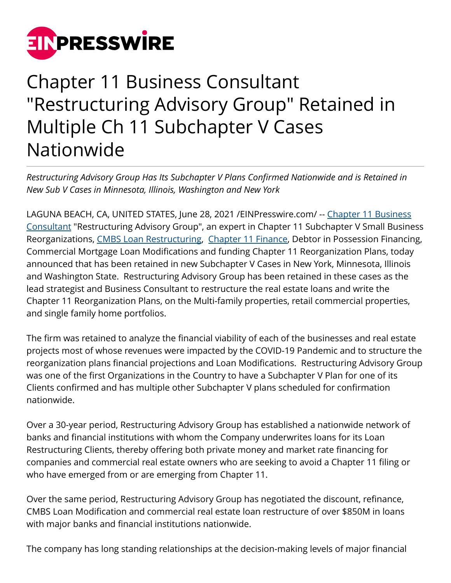

## Chapter 11 Business Consultant "Restructuring Advisory Group" Retained in Multiple Ch 11 Subchapter V Cases Nationwide

*Restructuring Advisory Group Has Its Subchapter V Plans Confirmed Nationwide and is Retained in New Sub V Cases in Minnesota, Illinois, Washington and New York*

LAGUNA BEACH, CA, UNITED STATES, June 28, 2021 /[EINPresswire.com](http://www.einpresswire.com)/ -- [Chapter 11 Business](https://restructuringexperts.com/press-releases/) [Consultant](https://restructuringexperts.com/press-releases/) "Restructuring Advisory Group", an expert in Chapter 11 Subchapter V Small Business Reorganizations, [CMBS Loan Restructuring,](http://restructuringexperts.com/cmbs-loan-restructures/) [Chapter 11 Finance,](http://restructuringexperts.com/refinancings/) Debtor in Possession Financing, Commercial Mortgage Loan Modifications and funding Chapter 11 Reorganization Plans, today announced that has been retained in new Subchapter V Cases in New York, Minnesota, Illinois and Washington State. Restructuring Advisory Group has been retained in these cases as the lead strategist and Business Consultant to restructure the real estate loans and write the Chapter 11 Reorganization Plans, on the Multi-family properties, retail commercial properties, and single family home portfolios.

The firm was retained to analyze the financial viability of each of the businesses and real estate projects most of whose revenues were impacted by the COVID-19 Pandemic and to structure the reorganization plans financial projections and Loan Modifications. Restructuring Advisory Group was one of the first Organizations in the Country to have a Subchapter V Plan for one of its Clients confirmed and has multiple other Subchapter V plans scheduled for confirmation nationwide.

Over a 30-year period, Restructuring Advisory Group has established a nationwide network of banks and financial institutions with whom the Company underwrites loans for its Loan Restructuring Clients, thereby offering both private money and market rate financing for companies and commercial real estate owners who are seeking to avoid a Chapter 11 filing or who have emerged from or are emerging from Chapter 11.

Over the same period, Restructuring Advisory Group has negotiated the discount, refinance, CMBS Loan Modification and commercial real estate loan restructure of over \$850M in loans with major banks and financial institutions nationwide.

The company has long standing relationships at the decision-making levels of major financial